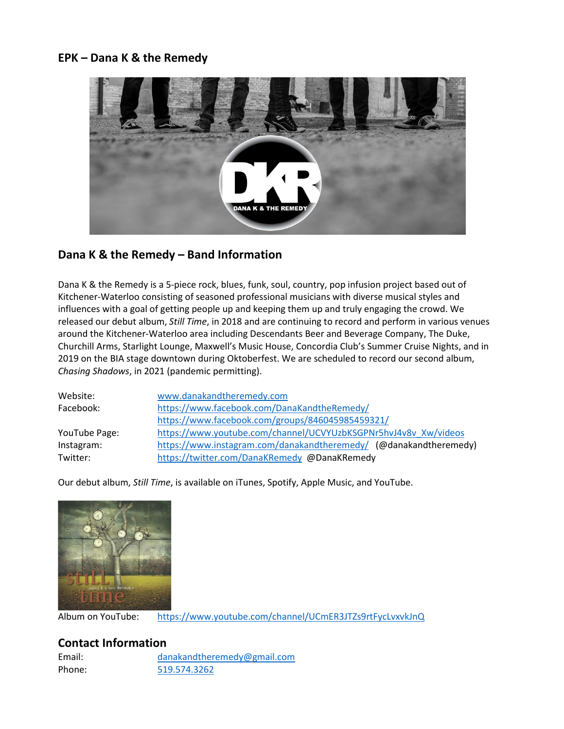### **EPK – Dana K & the Remedy**



# **Dana K & the Remedy – Band Information**

Dana K & the Remedy is a 5-piece rock, blues, funk, soul, country, pop infusion project based out of Kitchener-Waterloo consisting of seasoned professional musicians with diverse musical styles and influences with a goal of getting people up and keeping them up and truly engaging the crowd. We released our debut album, *Still Time*, in 2018 and are continuing to record and perform in various venues around the Kitchener-Waterloo area including Descendants Beer and Beverage Company, The Duke, Churchill Arms, Starlight Lounge, Maxwell's Music House, Concordia Club's Summer Cruise Nights, and in 2019 on the BIA stage downtown during Oktoberfest. We are scheduled to record our second album, *Chasing Shadows*, in 2021 (pandemic permitting).

| Website:      | www.danakandtheremedy.com                                         |
|---------------|-------------------------------------------------------------------|
| Facebook:     | https://www.facebook.com/DanaKandtheRemedy/                       |
|               | https://www.facebook.com/groups/846045985459321/                  |
| YouTube Page: | https://www.youtube.com/channel/UCVYUzbKSGPNr5hvJ4v8v Xw/videos   |
| Instagram:    | https://www.instagram.com/danakandtheremedy/ (@danakandtheremedy) |
| Twitter:      | https://twitter.com/DanaKRemedy @DanaKRemedy                      |

Our debut album, *Still Time*, is available on iTunes, Spotify, Apple Music, and YouTube.



Album on YouTube: <https://www.youtube.com/channel/UCmER3JTZs9rtFycLvxvkJnQ>

## **Contact Information**

Email: [danakandtheremedy@gmail.com](mailto:danakandtheremedy@gmail.com) Phone: [519.574.3262](tel:(519)%20574-3262)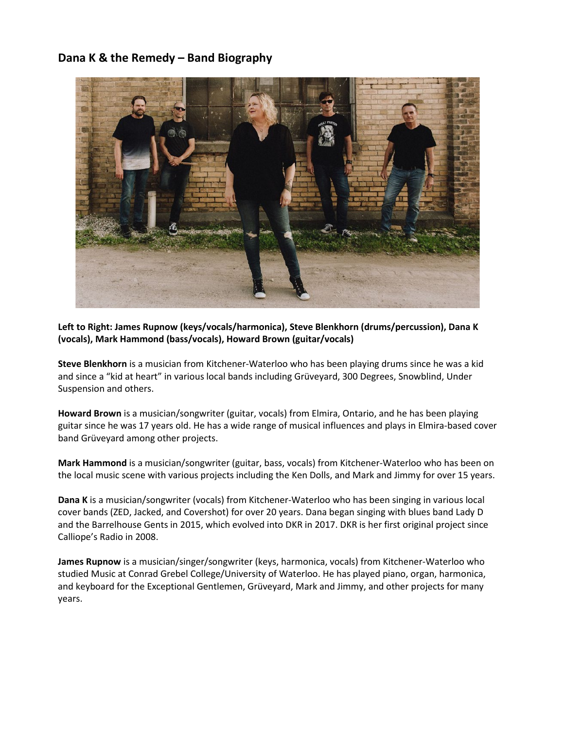## **Dana K & the Remedy – Band Biography**



**Left to Right: James Rupnow (keys/vocals/harmonica), Steve Blenkhorn (drums/percussion), Dana K (vocals), Mark Hammond (bass/vocals), Howard Brown (guitar/vocals)**

**Steve Blenkhorn** is a musician from Kitchener-Waterloo who has been playing drums since he was a kid and since a "kid at heart" in various local bands including Grüveyard, 300 Degrees, Snowblind, Under Suspension and others.

**Howard Brown** is a musician/songwriter (guitar, vocals) from Elmira, Ontario, and he has been playing guitar since he was 17 years old. He has a wide range of musical influences and plays in Elmira-based cover band Grüveyard among other projects.

**Mark Hammond** is a musician/songwriter (guitar, bass, vocals) from Kitchener-Waterloo who has been on the local music scene with various projects including the Ken Dolls, and Mark and Jimmy for over 15 years.

**Dana K** is a musician/songwriter (vocals) from Kitchener-Waterloo who has been singing in various local cover bands (ZED, Jacked, and Covershot) for over 20 years. Dana began singing with blues band Lady D and the Barrelhouse Gents in 2015, which evolved into DKR in 2017. DKR is her first original project since Calliope's Radio in 2008.

**James Rupnow** is a musician/singer/songwriter (keys, harmonica, vocals) from Kitchener-Waterloo who studied Music at Conrad Grebel College/University of Waterloo. He has played piano, organ, harmonica, and keyboard for the Exceptional Gentlemen, Grüveyard, Mark and Jimmy, and other projects for many years.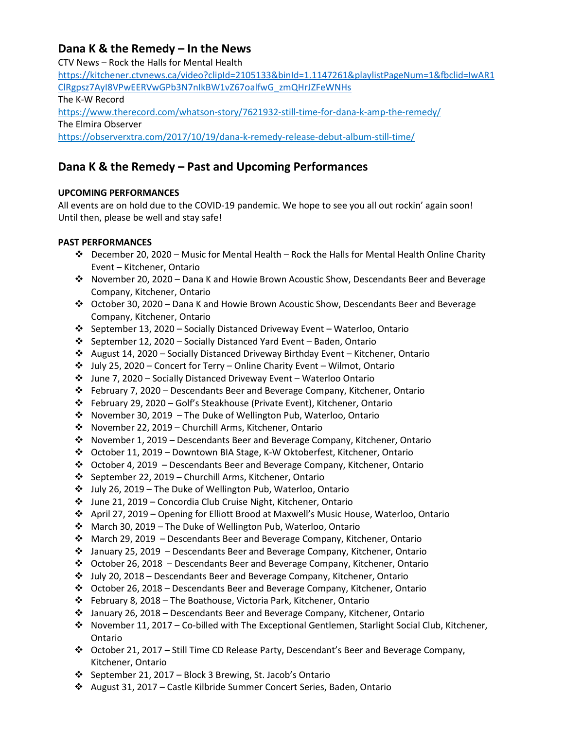## **Dana K & the Remedy – In the News**

CTV News – Rock the Halls for Mental Health [https://kitchener.ctvnews.ca/video?clipId=2105133&binId=1.1147261&playlistPageNum=1&fbclid=IwAR1](https://kitchener.ctvnews.ca/video?clipId=2105133&binId=1.1147261&playlistPageNum=1&fbclid=IwAR1ClRgpsz7AyI8VPwEERVwGPb3N7nIkBW1vZ67oalfwG_zmQHrJZFeWNHs) [ClRgpsz7AyI8VPwEERVwGPb3N7nIkBW1vZ67oalfwG\\_zmQHrJZFeWNHs](https://kitchener.ctvnews.ca/video?clipId=2105133&binId=1.1147261&playlistPageNum=1&fbclid=IwAR1ClRgpsz7AyI8VPwEERVwGPb3N7nIkBW1vZ67oalfwG_zmQHrJZFeWNHs) The K-W Record <https://www.therecord.com/whatson-story/7621932-still-time-for-dana-k-amp-the-remedy/> The Elmira Observer <https://observerxtra.com/2017/10/19/dana-k-remedy-release-debut-album-still-time/>

# **Dana K & the Remedy – Past and Upcoming Performances**

#### **UPCOMING PERFORMANCES**

All events are on hold due to the COVID-19 pandemic. We hope to see you all out rockin' again soon! Until then, please be well and stay safe!

#### **PAST PERFORMANCES**

- December 20, 2020 Music for Mental Health Rock the Halls for Mental Health Online Charity Event – Kitchener, Ontario
- November 20, 2020 Dana K and Howie Brown Acoustic Show, Descendants Beer and Beverage Company, Kitchener, Ontario
- October 30, 2020 Dana K and Howie Brown Acoustic Show, Descendants Beer and Beverage Company, Kitchener, Ontario
- September 13, 2020 Socially Distanced Driveway Event Waterloo, Ontario
- September 12, 2020 Socially Distanced Yard Event Baden, Ontario
- August 14, 2020 Socially Distanced Driveway Birthday Event Kitchener, Ontario
- July 25, 2020 Concert for Terry Online Charity Event Wilmot, Ontario
- June 7, 2020 Socially Distanced Driveway Event Waterloo Ontario
- February 7, 2020 Descendants Beer and Beverage Company, Kitchener, Ontario
- February 29, 2020 Golf's Steakhouse (Private Event), Kitchener, Ontario
- November 30, 2019 The Duke of Wellington Pub, Waterloo, Ontario
- November 22, 2019 Churchill Arms, Kitchener, Ontario
- November 1, 2019 Descendants Beer and Beverage Company, Kitchener, Ontario
- October 11, 2019 Downtown BIA Stage, K-W Oktoberfest, Kitchener, Ontario
- October 4, 2019 Descendants Beer and Beverage Company, Kitchener, Ontario
- $\div$  September 22, 2019 Churchill Arms, Kitchener, Ontario
- July 26, 2019 The Duke of Wellington Pub, Waterloo, Ontario
- June 21, 2019 Concordia Club Cruise Night, Kitchener, Ontario
- April 27, 2019 Opening for Elliott Brood at Maxwell's Music House, Waterloo, Ontario
- March 30, 2019 The Duke of Wellington Pub, Waterloo, Ontario
- $\div$  March 29, 2019 Descendants Beer and Beverage Company, Kitchener, Ontario
- January 25, 2019 Descendants Beer and Beverage Company, Kitchener, Ontario
- October 26, 2018 Descendants Beer and Beverage Company, Kitchener, Ontario
- July 20, 2018 Descendants Beer and Beverage Company, Kitchener, Ontario
- October 26, 2018 Descendants Beer and Beverage Company, Kitchener, Ontario
- February 8, 2018 The Boathouse, Victoria Park, Kitchener, Ontario
- January 26, 2018 Descendants Beer and Beverage Company, Kitchener, Ontario
- November 11, 2017 Co-billed with The Exceptional Gentlemen, Starlight Social Club, Kitchener, Ontario
- October 21, 2017 Still Time CD Release Party, Descendant's Beer and Beverage Company, Kitchener, Ontario
- September 21, 2017 Block 3 Brewing, St. Jacob's Ontario
- August 31, 2017 Castle Kilbride Summer Concert Series, Baden, Ontario